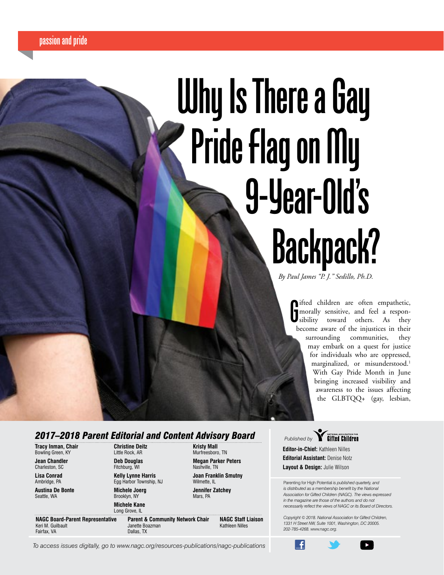# **Why Is There a Gay Pride Flag on My 9-Year-Old's Backpack?**

*By Paul James "P. J." Sedillo, Ph.D.*

**G**

ifted children are often empathetic, morally sensitive, and feel a responsibility toward others. As they become aware of the injustices in their surrounding communities, they may embark on a quest for justice for individuals who are oppressed, marginalized, or misunderstood.<sup>1</sup> With Gay Pride Month in June bringing increased visibility and awareness to the issues affecting the GLBTQQ+ (gay, lesbian,

## *2017–2018 Parent Editorial and Content Advisory Board*

**Tracy Inman, Chair** Bowling Green, KY

**Jean Chandler** Charleston, SC

**Lisa Conrad** Ambridge, PA

**Austina De Bonte**  Seattle, WA

Keri M. Guilbault Fairfax, VA

**Christine Deitz** Little Rock, AR **Deb Douglas** Fitchburg, WI

Egg Harbor Township, NJ **Michele Joerg** Brooklyn, NY

**Michele Kane** Long Grove, IL **NAGC Board-Parent Representative**

**Kelly Lynne Harris**

**Parent & Community Network Chair** Janette Boazman Dallas, TX

**Kristy Mall** Murfreesboro, TN **Megan Parker Peters** Nashville, TN **Joan Franklin Smutny**

Wilmette, II **Jennifer Zatchey** Mars, PA

**NAGC Staff Liaison** Kathleen Nilles

**Published by <b>Charlotted Children** 

**Editor-in-Chief:** Kathleen Nilles **Editorial Assistant:** Denise Notz **Layout & Design:** Julie Wilson

Æ

Parenting for High Potential *is published quarterly, and is distributed as a membership benefit by the National Association for Gifted Children (NAGC). The views expressed in the magazine are those of the authors and do not necessarily reflect the views of NAGC or its Board of Directors.* 

*Copyright © 2018. National Association for Gifted Children, 1331 H Street NW, Suite 1001, Washington, DC 20005. 202-785-4268. www.nagc.org.*

**2** *PHP | Parenting for High Potential To access issues digitally, go to www.nagc.org/resources-publications/nagc-publications*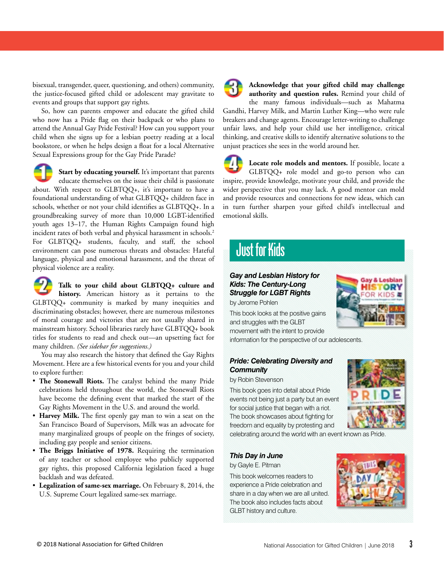bisexual, transgender, queer, questioning, and others) community, the justice-focused gifted child or adolescent may gravitate to events and groups that support gay rights.

So, how can parents empower and educate the gifted child who now has a Pride flag on their backpack or who plans to attend the Annual Gay Pride Festival? How can you support your child when she signs up for a lesbian poetry reading at a local bookstore, or when he helps design a float for a local Alternative Sexual Expressions group for the Gay Pride Parade?



Start by educating yourself. It's important that parents educate themselves on the issue their child is passionate about. With respect to GLBTQQ+, it's important to have a foundational understanding of what GLBTQQ+ children face in schools, whether or not your child identifies as GLBTQQ+. In a groundbreaking survey of more than 10,000 LGBT-identified youth ages 13–17, the Human Rights Campaign found high incident rates of both verbal and physical harassment in schools.<sup>2</sup> For GLBTQQ+ students, faculty, and staff, the school environment can pose numerous threats and obstacles: Hateful language, physical and emotional harassment, and the threat of

physical violence are a reality.

**Talk to your child about GLBTQQ+ culture and history.** American history as it pertains to the GLBTQQ+ community is marked by many inequities and discriminating obstacles; however, there are numerous milestones of moral courage and victories that are not usually shared in mainstream history. School libraries rarely have GLBTQQ+ book titles for students to read and check out—an upsetting fact for many children. *(See sidebar for suggestions.)*

You may also research the history that defined the Gay Rights Movement. Here are a few historical events for you and your child to explore further:

- **The Stonewall Riots.** The catalyst behind the many Pride celebrations held throughout the world, the Stonewall Riots have become the defining event that marked the start of the [Gay Rights Movement](http://en.wikipedia.org/wiki/Gay_rights_movement) in the U.S. and around the world.
- **Harvey Milk.** The first openly gay man to win a seat on the San Francisco Board of Supervisors, Milk was an advocate for many marginalized groups of people on the fringes of society, including gay people and senior citizens.
- **The Briggs Initiative of 1978.** Requiring the termination of any teacher or school employee who publicly supported gay rights, this proposed California legislation faced a huge backlash and was defeated.
- **Legalization of same-sex marriage.** On February 8, 2014, the U.S. Supreme Court legalized same-sex marriage.



**Acknowledge that your gifted child may challenge authority and question rules.** Remind your child of

the many famous individuals—such as Mahatma Gandhi, Harvey Milk, and Martin Luther King—who were rule breakers and change agents. Encourage letter-writing to challenge unfair laws, and help your child use her intelligence, critical thinking, and creative skills to identify alternative solutions to the unjust practices she sees in the world around her.

**Locate role models and mentors.** If possible, locate a GLBTQQ+ role model and go-to person who can inspire, provide knowledge, motivate your child, and provide the wider perspective that you may lack. A good mentor can mold and provide resources and connections for new ideas, which can in turn further sharpen your gifted child's intellectual and emotional skills.

## **Just for Kids**

### *Gay and Lesbian History for Kids: The Century-Long Struggle for LGBT Rights*

by Jerome Pohlen

This book looks at the positive gains and struggles with the GLBT movement with the intent to provide

information for the perspective of our adolescents.

### *Pride: Celebrating Diversity and Community*

by Robin Stevenson

This book goes into detail about Pride events not being just a party but an event for social justice that began with a riot. The book showcases about fighting for freedom and equality by protesting and



& Lesbian

celebrating around the world with an event known as Pride.

#### *This Day in June*

by Gayle E. Pitman

This book welcomes readers to experience a Pride celebration and share in a day when we are all united. The book also includes facts about GLBT history and culture.

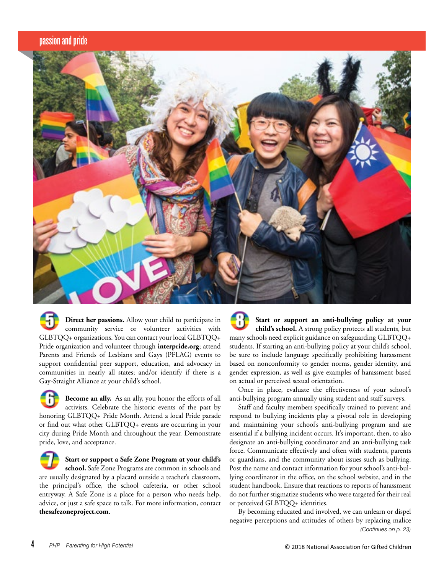

**Direct her passions.** Allow your child to participate in community service or volunteer activities with GLBTQQ+ organizations. You can contact your local GLBTQQ+ Pride organization and volunteer through **[interpride.org](http://www.interpride.org)**; attend Parents and Friends of Lesbians and Gays (PFLAG) events to support confidential peer support, education, and advocacy in communities in nearly all states; and/or identify if there is a Gay-Straight Alliance at your child's school.

**Become an ally.** As an ally, you honor the efforts of all activists. Celebrate the historic events of the past by honoring GLBTQQ+ Pride Month. Attend a local Pride parade or find out what other GLBTQQ+ events are occurring in your city during Pride Month and throughout the year. Demonstrate pride, love, and acceptance.

**Start or support a Safe Zone Program at your child's school.** Safe Zone Programs are common in schools and are usually designated by a placard outside a teacher's classroom, the principal's office, the school cafeteria, or other school entryway. A Safe Zone is a place for a person who needs help, advice, or just a safe space to talk. For more information, contact **thesafezoneproject.com**.

**Start or support an anti-bullying policy at your child's school.** A strong policy protects all students, but many schools need explicit guidance on safeguarding GLBTQQ+ students. If starting an anti-bullying policy at your child's school, be sure to include language specifically prohibiting harassment based on nonconformity to gender norms, gender identity, and gender expression, as well as give examples of harassment based on actual or perceived sexual orientation.

Once in place, evaluate the effectiveness of your school's anti-bullying program annually using [student and staff surveys](http://www.tolerance.org/unavailable).

Staff and faculty members specifically trained to prevent and respond to bullying incidents play a pivotal role in developing and maintaining your school's anti-bullying program and are essential if a bullying incident occurs. It's important, then, to also designate an anti-bullying coordinator and an anti-bullying task force. Communicate effectively and often with students, parents or guardians, and the community about issues such as bullying. Post the name and contact information for your school's anti-bullying coordinator in the office, on the school website, and in the student handbook. Ensure that reactions to reports of harassment do not further stigmatize students who were targeted for their real or perceived GLBTQQ+ identities.

By becoming educated and involved, we can unlearn or dispel negative perceptions and attitudes of others by replacing malice *(Continues on p. 23)*